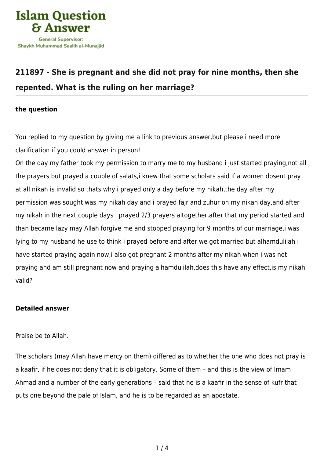

## **[211897 - She is pregnant and she did not pray for nine months, then she](https://islamqa.com/en/answers/211897/she-is-pregnant-and-she-did-not-pray-for-nine-months-then-she-repented-what-is-the-ruling-on-her-marriage) [repented. What is the ruling on her marriage?](https://islamqa.com/en/answers/211897/she-is-pregnant-and-she-did-not-pray-for-nine-months-then-she-repented-what-is-the-ruling-on-her-marriage)**

## **the question**

You replied to my question by giving me a link to previous answer,but please i need more clarification if you could answer in person!

On the day my father took my permission to marry me to my husband i just started praying,not all the prayers but prayed a couple of salats,i knew that some scholars said if a women dosent pray at all nikah is invalid so thats why i prayed only a day before my nikah,the day after my permission was sought was my nikah day and i prayed fajr and zuhur on my nikah day,and after my nikah in the next couple days i prayed 2/3 prayers altogether,after that my period started and than became lazy may Allah forgive me and stopped praying for 9 months of our marriage,i was lying to my husband he use to think i prayed before and after we got married but alhamdulilah i have started praying again now,i also got pregnant 2 months after my nikah when i was not praying and am still pregnant now and praying alhamdulilah,does this have any effect,is my nikah valid?

## **Detailed answer**

Praise be to Allah.

The scholars (may Allah have mercy on them) differed as to whether the one who does not pray is a kaafir, if he does not deny that it is obligatory. Some of them – and this is the view of Imam Ahmad and a number of the early generations – said that he is a kaafir in the sense of kufr that puts one beyond the pale of Islam, and he is to be regarded as an apostate.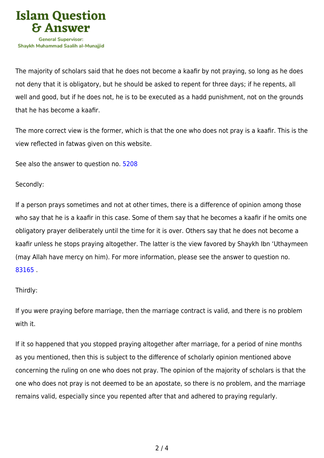

The majority of scholars said that he does not become a kaafir by not praying, so long as he does not deny that it is obligatory, but he should be asked to repent for three days; if he repents, all well and good, but if he does not, he is to be executed as a hadd punishment, not on the grounds that he has become a kaafir.

The more correct view is the former, which is that the one who does not pray is a kaafir. This is the view reflected in fatwas given on this website.

See also the answer to question no. [5208](https://islamqa.com/en/answers/5208)

Secondly:

If a person prays sometimes and not at other times, there is a difference of opinion among those who say that he is a kaafir in this case. Some of them say that he becomes a kaafir if he omits one obligatory prayer deliberately until the time for it is over. Others say that he does not become a kaafir unless he stops praying altogether. The latter is the view favored by Shaykh Ibn 'Uthaymeen (may Allah have mercy on him). For more information, please see the answer to question no. [83165](https://islamqa.com/en/answers/83165) .

## Thirdly:

If you were praying before marriage, then the marriage contract is valid, and there is no problem with it.

If it so happened that you stopped praying altogether after marriage, for a period of nine months as you mentioned, then this is subject to the difference of scholarly opinion mentioned above concerning the ruling on one who does not pray. The opinion of the majority of scholars is that the one who does not pray is not deemed to be an apostate, so there is no problem, and the marriage remains valid, especially since you repented after that and adhered to praying regularly.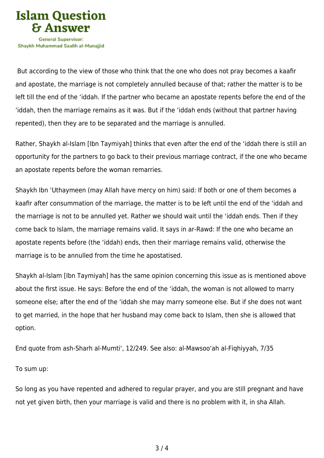

 But according to the view of those who think that the one who does not pray becomes a kaafir and apostate, the marriage is not completely annulled because of that; rather the matter is to be left till the end of the 'iddah. If the partner who became an apostate repents before the end of the 'iddah, then the marriage remains as it was. But if the 'iddah ends (without that partner having repented), then they are to be separated and the marriage is annulled.

Rather, Shaykh al-Islam [Ibn Taymiyah] thinks that even after the end of the 'iddah there is still an opportunity for the partners to go back to their previous marriage contract, if the one who became an apostate repents before the woman remarries.

Shaykh Ibn 'Uthaymeen (may Allah have mercy on him) said: If both or one of them becomes a kaafir after consummation of the marriage, the matter is to be left until the end of the 'iddah and the marriage is not to be annulled yet. Rather we should wait until the 'iddah ends. Then if they come back to Islam, the marriage remains valid. It says in ar-Rawd: If the one who became an apostate repents before (the 'iddah) ends, then their marriage remains valid, otherwise the marriage is to be annulled from the time he apostatised.

Shaykh al-Islam [Ibn Taymiyah] has the same opinion concerning this issue as is mentioned above about the first issue. He says: Before the end of the 'iddah, the woman is not allowed to marry someone else; after the end of the 'iddah she may marry someone else. But if she does not want to get married, in the hope that her husband may come back to Islam, then she is allowed that option.

End quote from ash-Sharh al-Mumti', 12/249. See also: al-Mawsoo'ah al-Fiqhiyyah, 7/35

To sum up:

So long as you have repented and adhered to regular prayer, and you are still pregnant and have not yet given birth, then your marriage is valid and there is no problem with it, in sha Allah.